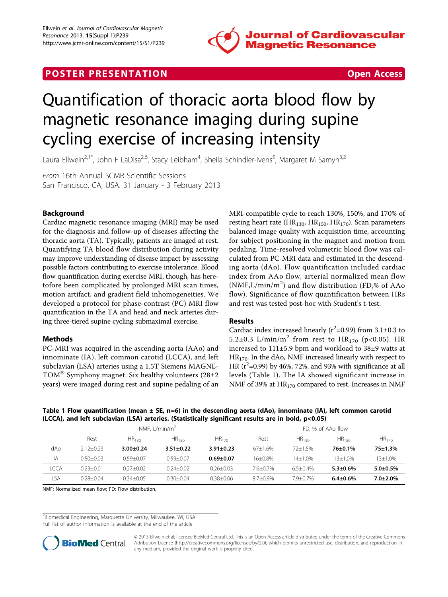

# **POSTER PRESENTATION CONSUMING THE SECOND CONSUMING THE SECOND CONSUMING THE SECOND CONSUMING THE SECOND CONSUMING THE SECOND CONSUMING THE SECOND CONSUMING THE SECOND CONSUMING THE SECOND CONSUMING THE SECOND CONSUMING**



# Quantification of thoracic aorta blood flow by magnetic resonance imaging during supine cycling exercise of increasing intensity

Laura Ellwein<sup>2,1\*</sup>, John F LaDisa<sup>2,6</sup>, Stacy Leibham<sup>4</sup>, Sheila Schindler-Ivens<sup>5</sup>, Margaret M Samyn<sup>3,2</sup>

From 16th Annual SCMR Scientific Sessions San Francisco, CA, USA. 31 January - 3 February 2013

# Background

Cardiac magnetic resonance imaging (MRI) may be used for the diagnosis and follow-up of diseases affecting the thoracic aorta (TA). Typically, patients are imaged at rest. Quantifying TA blood flow distribution during activity may improve understanding of disease impact by assessing possible factors contributing to exercise intolerance. Blood flow quantification during exercise MRI, though, has heretofore been complicated by prolonged MRI scan times, motion artifact, and gradient field inhomogeneities. We developed a protocol for phase-contrast (PC) MRI flow quantification in the TA and head and neck arteries during three-tiered supine cycling submaximal exercise.

## Methods

PC-MRI was acquired in the ascending aorta (AAo) and innominate (IA), left common carotid (LCCA), and left subclavian (LSA) arteries using a 1.5T Siemens MAGNE-TOM<sup>®</sup> Symphony magnet. Six healthy volunteers  $(28\pm 2)$ years) were imaged during rest and supine pedaling of an MRI-compatible cycle to reach 130%, 150%, and 170% of resting heart rate ( $HR_{130}$ ,  $HR_{150}$ ,  $HR_{170}$ ). Scan parameters balanced image quality with acquisition time, accounting for subject positioning in the magnet and motion from pedaling. Time-resolved volumetric blood flow was calculated from PC-MRI data and estimated in the descending aorta (dAo). Flow quantification included cardiac index from AAo flow, arterial normalized mean flow (NMF,L/min/m<sup>2</sup> ) and flow distribution (FD,% of AAo flow). Significance of flow quantification between HRs and rest was tested post-hoc with Student's t-test.

## Results

Cardiac index increased linearly ( $r^2$ =0.99) from 3.1±0.3 to 5.2±0.3 L/min/m<sup>2</sup> from rest to  $HR_{170}$  (p<0.05). HR increased to 111±5.9 bpm and workload to 38±9 watts at HR<sub>170</sub>. In the dAo, NMF increased linearly with respect to HR ( $r^2$ =0.99) by 46%, 72%, and 93% with significance at all levels (Table 1). The IA showed significant increase in NMF of 39% at HR<sub>170</sub> compared to rest. Increases in NMF

Table 1 Flow quantification (mean  $\pm$  SE, n=6) in the descending aorta (dAo), innominate (IA), left common carotid (LCCA), and left subclavian (LSA) arteries. (Statistically significant results are in bold, p<0.05)

|      | NMF. $L/min/m2$ |                   |                   |                 | FD. % of AAo flow |                   |                 |                 |
|------|-----------------|-------------------|-------------------|-----------------|-------------------|-------------------|-----------------|-----------------|
|      | Rest            | HR <sub>130</sub> | HR <sub>150</sub> | $HR_{170}$      | Rest              | HR <sub>130</sub> | $HR_{150}$      | $HR_{170}$      |
| dAo  | $2.12 + 0.23$   | $3.00 \pm 0.24$   | $3.51 \pm 0.22$   | $3.91 \pm 0.23$ | $67+1.6%$         | $72+1.5%$         | $76 \pm 0.1\%$  | $75 \pm 1.3\%$  |
| ΙA   | $0.50 + 0.03$   | $0.59 + 0.07$     | $0.59 + 0.07$     | $0.69 + 0.07$   | 16+0.8%           | $14 + 1.0%$       | 13+1.0%         | 13+1.0%         |
| lcca | $0.23 + 0.01$   | $0.27 + 0.02$     | $0.24 + 0.02$     | $0.26 + 0.03$   | 76+07%            | $6.5 + 0.4%$      | $5.3 \pm 0.6\%$ | $5.0 + 0.5\%$   |
| LSA  | $0.28 + 0.04$   | $0.34 + 0.05$     | $0.30 + 0.04$     | $0.38 + 0.06$   | $8.7 + 0.9\%$     | 79+07%            | $6.4 \pm 0.6\%$ | $7.0 \pm 2.0\%$ |

NMF: Normalized mean flow; FD: Flow distribution.

<sup>2</sup> Biomedical Engineering, Marquette University, Milwaukee, WI, USA

Full list of author information is available at the end of the article



© 2013 Ellwein et al; licensee BioMed Central Ltd. This is an Open Access article distributed under the terms of the Creative Commons Attribution License [\(http://creativecommons.org/licenses/by/2.0](http://creativecommons.org/licenses/by/2.0)), which permits unrestricted use, distribution, and reproduction in any medium, provided the original work is properly cited.